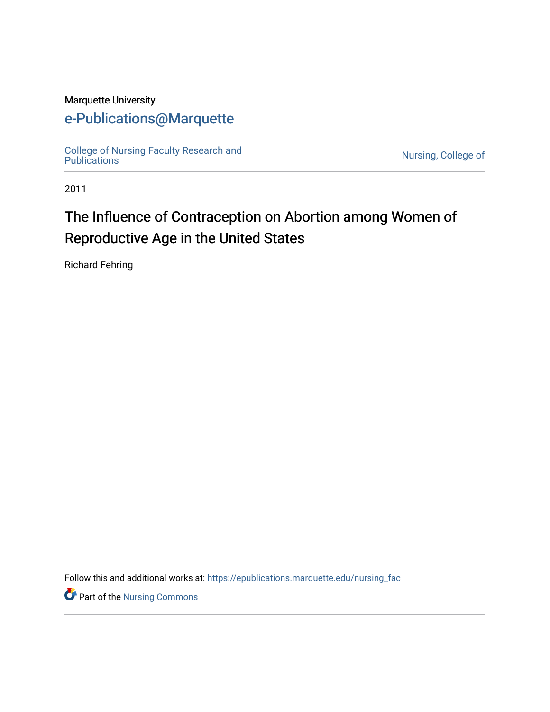## Marquette University

# [e-Publications@Marquette](https://epublications.marquette.edu/)

[College of Nursing Faculty Research and](https://epublications.marquette.edu/nursing_fac) [Publications](https://epublications.marquette.edu/nursing_fac) [Nursing, College of](https://epublications.marquette.edu/nursing) 

2011

# The Influence of Contraception on Abortion among Women of Reproductive Age in the United States

Richard Fehring

Follow this and additional works at: [https://epublications.marquette.edu/nursing\\_fac](https://epublications.marquette.edu/nursing_fac?utm_source=epublications.marquette.edu%2Fnursing_fac%2F608&utm_medium=PDF&utm_campaign=PDFCoverPages)

**P** Part of the Nursing Commons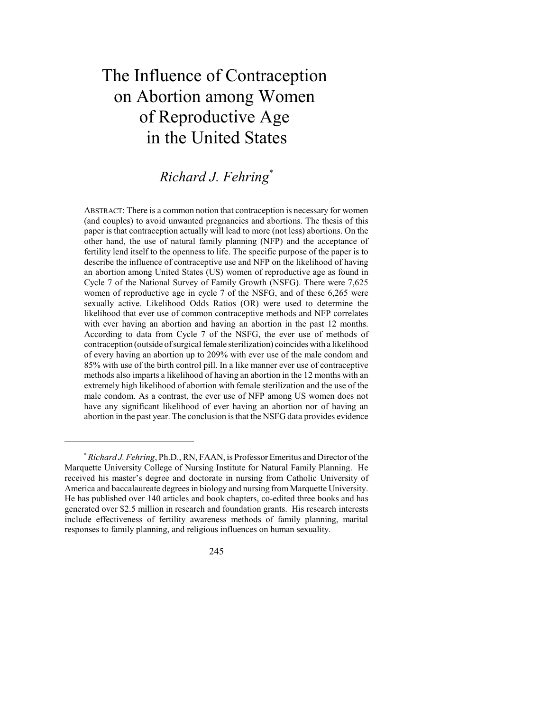# The Influence of Contraception on Abortion among Women of Reproductive Age in the United States

# *Richard J. Fehring* \*

ABSTRACT: There is a common notion that contraception is necessary for women (and couples) to avoid unwanted pregnancies and abortions. The thesis of this paper is that contraception actually will lead to more (not less) abortions. On the other hand, the use of natural family planning (NFP) and the acceptance of fertility lend itself to the openness to life. The specific purpose of the paper is to describe the influence of contraceptive use and NFP on the likelihood of having an abortion among United States (US) women of reproductive age as found in Cycle 7 of the National Survey of Family Growth (NSFG). There were 7,625 women of reproductive age in cycle 7 of the NSFG, and of these 6,265 were sexually active. Likelihood Odds Ratios (OR) were used to determine the likelihood that ever use of common contraceptive methods and NFP correlates with ever having an abortion and having an abortion in the past 12 months. According to data from Cycle 7 of the NSFG, the ever use of methods of contraception (outside of surgical female sterilization) coincides with a likelihood of every having an abortion up to 209% with ever use of the male condom and 85% with use of the birth control pill. In a like manner ever use of contraceptive methods also imparts a likelihood of having an abortion in the 12 months with an extremely high likelihood of abortion with female sterilization and the use of the male condom. As a contrast, the ever use of NFP among US women does not have any significant likelihood of ever having an abortion nor of having an abortion in the past year. The conclusion is that the NSFG data provides evidence

245

<sup>\*</sup>*Richard J. Fehring*, Ph.D., RN, FAAN, is Professor Emeritus and Director ofthe Marquette University College of Nursing Institute for Natural Family Planning. He received his master's degree and doctorate in nursing from Catholic University of America and baccalaureate degrees in biology and nursing from Marquette University. He has published over 140 articles and book chapters, co-edited three books and has generated over \$2.5 million in research and foundation grants. His research interests include effectiveness of fertility awareness methods of family planning, marital responses to family planning, and religious influences on human sexuality.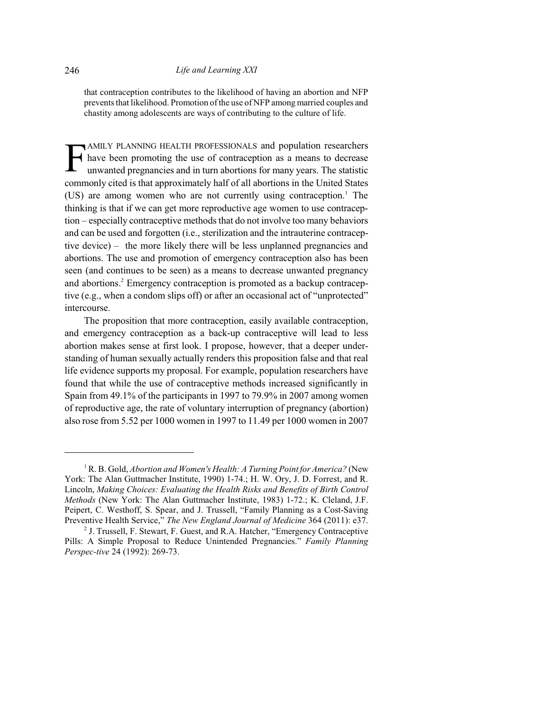that contraception contributes to the likelihood of having an abortion and NFP prevents that likelihood. Promotion ofthe use of NFP among married couples and chastity among adolescents are ways of contributing to the culture of life.

F AMILY PLANNING HEALTH PROFESSIONALS and population researchers have been promoting the use of contraception as a means to decrease unwanted pregnancies and in turn abortions for many years. The statistic commonly cited is that approximately half of all abortions in the United States  $(US)$  are among women who are not currently using contraception.<sup>1</sup> The thinking is that if we can get more reproductive age women to use contraception – especially contraceptive methods that do not involve too many behaviors and can be used and forgotten (i.e., sterilization and the intrauterine contraceptive device) – the more likely there will be less unplanned pregnancies and abortions. The use and promotion of emergency contraception also has been seen (and continues to be seen) as a means to decrease unwanted pregnancy and abortions. <sup>2</sup> Emergency contraception is promoted as a backup contraceptive (e.g., when a condom slips off) or after an occasional act of "unprotected" intercourse.

The proposition that more contraception, easily available contraception, and emergency contraception as a back-up contraceptive will lead to less abortion makes sense at first look. I propose, however, that a deeper understanding of human sexually actually renders this proposition false and that real life evidence supports my proposal. For example, population researchers have found that while the use of contraceptive methods increased significantly in Spain from 49.1% of the participants in 1997 to 79.9% in 2007 among women of reproductive age, the rate of voluntary interruption of pregnancy (abortion) also rose from 5.52 per 1000 women in 1997 to 11.49 per 1000 women in 2007

<sup>1</sup> R. B. Gold, *Abortion and Women's Health: A Turning Point for America?* (New York: The Alan Guttmacher Institute, 1990) 1-74.; H. W. Ory, J. D. Forrest, and R. Lincoln, *Making Choices: Evaluating the Health Risks and Benefits of Birth Control Methods* (New York: The Alan Guttmacher Institute, 1983) 1-72.; K. Cleland, J.F. Peipert, C. Westhoff, S. Spear, and J. Trussell, "Family Planning as a Cost-Saving Preventive Health Service," *The New England Journal of Medicine* 364 (2011): e37.

<sup>&</sup>lt;sup>2</sup> J. Trussell, F. Stewart, F. Guest, and R.A. Hatcher, "Emergency Contraceptive Pills: A Simple Proposal to Reduce Unintended Pregnancies." *Family Planning Perspec-tive* 24 (1992): 269-73.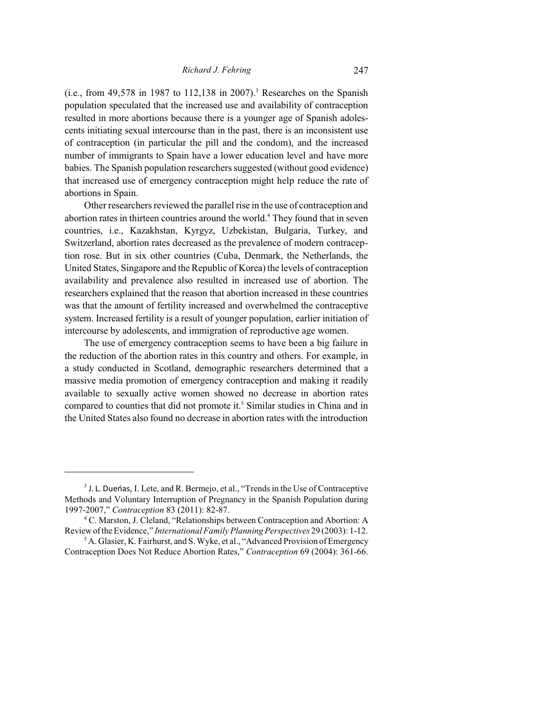(i.e., from 49,578 in 1987 to 112,138 in 2007). <sup>3</sup> Researches on the Spanish population speculated that the increased use and availability of contraception resulted in more abortions because there is a younger age of Spanish adolescents initiating sexual intercourse than in the past, there is an inconsistent use of contraception (in particular the pill and the condom), and the increased number of immigrants to Spain have a lower education level and have more babies. The Spanish population researchers suggested (without good evidence) that increased use of emergency contraception might help reduce the rate of abortions in Spain.

Other researchers reviewed the parallel rise in the use of contraception and abortion rates in thirteen countries around the world.<sup>4</sup> They found that in seven countries, i.e., Kazakhstan, Kyrgyz, Uzbekistan, Bulgaria, Turkey, and Switzerland, abortion rates decreased as the prevalence of modern contraception rose. But in six other countries (Cuba, Denmark, the Netherlands, the United States, Singapore and the Republic of Korea) the levels of contraception availability and prevalence also resulted in increased use of abortion. The researchers explained that the reason that abortion increased in these countries was that the amount of fertility increased and overwhelmed the contraceptive system. Increased fertility is a result of younger population, earlier initiation of intercourse by adolescents, and immigration of reproductive age women.

The use of emergency contraception seems to have been a big failure in the reduction of the abortion rates in this country and others. For example, in a study conducted in Scotland, demographic researchers determined that a massive media promotion of emergency contraception and making it readily available to sexually active women showed no decrease in abortion rates compared to counties that did not promote it. <sup>5</sup> Similar studies in China and in the United States also found no decrease in abortion rates with the introduction

<sup>&</sup>lt;sup>3</sup> J. L. Dueńas, I. Lete, and R. Bermejo, et al., "Trends in the Use of Contraceptive Methods and Voluntary Interruption of Pregnancy in the Spanish Population during 1997-2007," *Contraception* 83 (2011): 82-87.

<sup>4</sup> C. Marston, J. Cleland, "Relationships between Contraception and Abortion: A Reviewofthe Evidence," *International Family Planning Perspectives* 29 (2003): 1-12.

<sup>&</sup>lt;sup>5</sup> A. Glasier, K. Fairhurst, and S. Wyke, et al., "Advanced Provision of Emergency Contraception Does Not Reduce Abortion Rates," *Contraception* 69 (2004): 361-66.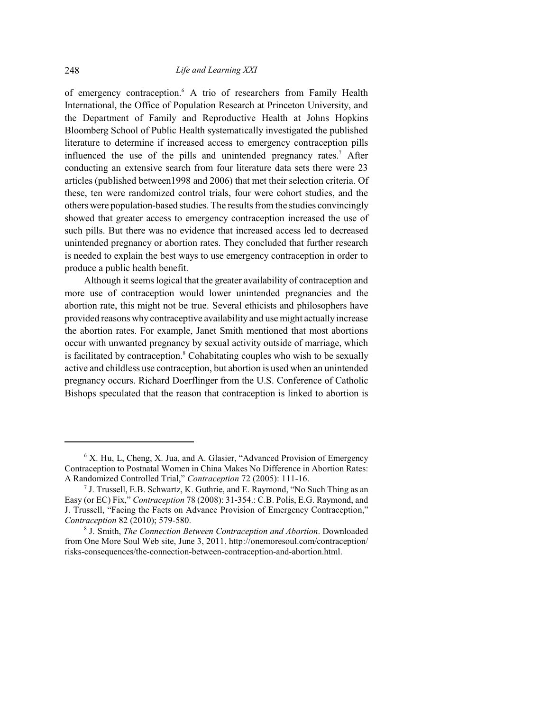of emergency contraception.<sup>6</sup> A trio of researchers from Family Health International, the Office of Population Research at Princeton University, and the Department of Family and Reproductive Health at Johns Hopkins Bloomberg School of Public Health systematically investigated the published literature to determine if increased access to emergency contraception pills influenced the use of the pills and unintended pregnancy rates. <sup>7</sup> After conducting an extensive search from four literature data sets there were 23 articles (published between1998 and 2006) that met their selection criteria. Of these, ten were randomized control trials, four were cohort studies, and the others were population-based studies. The resultsfromthe studies convincingly showed that greater access to emergency contraception increased the use of such pills. But there was no evidence that increased access led to decreased unintended pregnancy or abortion rates. They concluded that further research is needed to explain the best ways to use emergency contraception in order to produce a public health benefit.

Although it seems logical that the greater availability of contraception and more use of contraception would lower unintended pregnancies and the abortion rate, this might not be true. Several ethicists and philosophers have provided reasons why contraceptive availability and use might actually increase the abortion rates. For example, Janet Smith mentioned that most abortions occur with unwanted pregnancy by sexual activity outside of marriage, which is facilitated by contraception.<sup>8</sup> Cohabitating couples who wish to be sexually active and childless use contraception, but abortion is used when an unintended pregnancy occurs. Richard Doerflinger from the U.S. Conference of Catholic Bishops speculated that the reason that contraception is linked to abortion is

<sup>&</sup>lt;sup>6</sup> X. Hu, L, Cheng, X. Jua, and A. Glasier, "Advanced Provision of Emergency Contraception to Postnatal Women in China Makes No Difference in Abortion Rates: A Randomized Controlled Trial," *Contraception* 72 (2005): 111-16.

<sup>7</sup> J. Trussell, E.B. Schwartz, K. Guthrie, and E. Raymond, "No Such Thing as an Easy (or EC) Fix," *Contraception* 78 (2008): 31-354.: C.B. Polis, E.G. Raymond, and J. Trussell, "Facing the Facts on Advance Provision of Emergency Contraception," *Contraception* 82 (2010); 579-580.

<sup>8</sup> J. Smith, *The Connection Between Contraception and Abortion*. Downloaded from One More Soul Web site, June 3, 2011. http://onemoresoul.com/contraception/ risks-consequences/the-connection-between-contraception-and-abortion.html.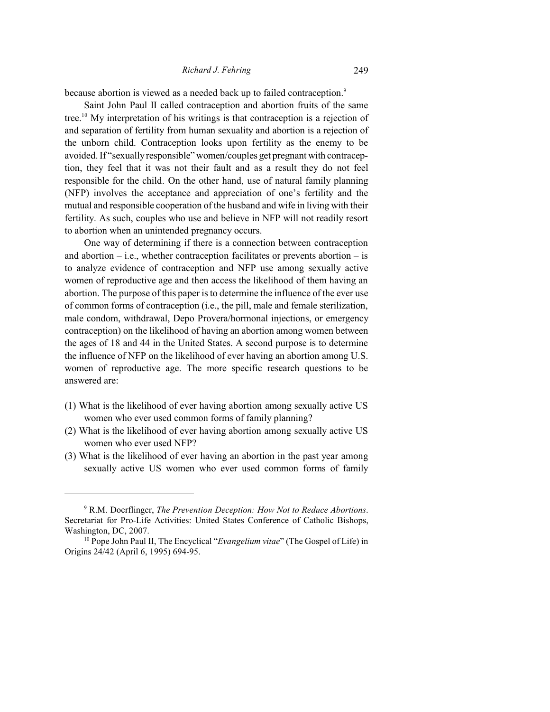#### *Richard J. Fehring* 249

because abortion is viewed as a needed back up to failed contraception.<sup>9</sup>

Saint John Paul II called contraception and abortion fruits of the same tree. <sup>10</sup> My interpretation of his writings is that contraception is a rejection of and separation of fertility from human sexuality and abortion is a rejection of the unborn child. Contraception looks upon fertility as the enemy to be avoided. If "sexually responsible" women/couples get pregnant with contraception, they feel that it was not their fault and as a result they do not feel responsible for the child. On the other hand, use of natural family planning (NFP) involves the acceptance and appreciation of one's fertility and the mutual and responsible cooperation of the husband and wife in living with their fertility. As such, couples who use and believe in NFP will not readily resort to abortion when an unintended pregnancy occurs.

One way of determining if there is a connection between contraception and abortion  $-$  i.e., whether contraception facilitates or prevents abortion  $-$  is to analyze evidence of contraception and NFP use among sexually active women of reproductive age and then access the likelihood of them having an abortion. The purpose of this paper is to determine the influence of the ever use of common forms of contraception (i.e., the pill, male and female sterilization, male condom, withdrawal, Depo Provera/hormonal injections, or emergency contraception) on the likelihood of having an abortion among women between the ages of 18 and 44 in the United States. A second purpose is to determine the influence of NFP on the likelihood of ever having an abortion among U.S. women of reproductive age. The more specific research questions to be answered are:

- (1) What is the likelihood of ever having abortion among sexually active US women who ever used common forms of family planning?
- (2) What is the likelihood of ever having abortion among sexually active US women who ever used NFP?
- (3) What is the likelihood of ever having an abortion in the past year among sexually active US women who ever used common forms of family

<sup>9</sup> R.M. Doerflinger, *The Prevention Deception: How Not to Reduce Abortions*. Secretariat for Pro-Life Activities: United States Conference of Catholic Bishops, Washington, DC, 2007.

<sup>10</sup> Pope John Paul II, The Encyclical "*Evangelium vitae*" (The Gospel of Life) in Origins 24/42 (April 6, 1995) 694-95.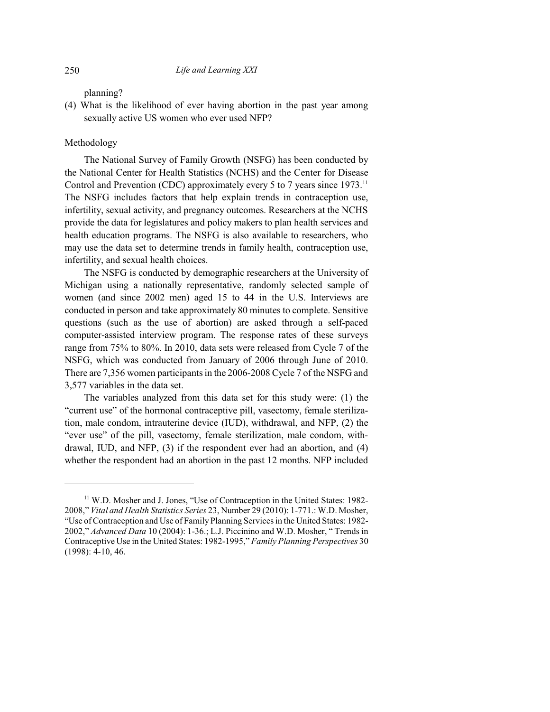planning?

(4) What is the likelihood of ever having abortion in the past year among sexually active US women who ever used NFP?

## Methodology

The National Survey of Family Growth (NSFG) has been conducted by the National Center for Health Statistics (NCHS) and the Center for Disease Control and Prevention (CDC) approximately every 5 to 7 years since 1973.<sup>11</sup> The NSFG includes factors that help explain trends in contraception use, infertility, sexual activity, and pregnancy outcomes. Researchers at the NCHS provide the data for legislatures and policy makers to plan health services and health education programs. The NSFG is also available to researchers, who may use the data set to determine trends in family health, contraception use, infertility, and sexual health choices.

The NSFG is conducted by demographic researchers at the University of Michigan using a nationally representative, randomly selected sample of women (and since 2002 men) aged 15 to 44 in the U.S. Interviews are conducted in person and take approximately 80 minutes to complete. Sensitive questions (such as the use of abortion) are asked through a self-paced computer-assisted interview program. The response rates of these surveys range from 75% to 80%. In 2010, data sets were released from Cycle 7 of the NSFG, which was conducted from January of 2006 through June of 2010. There are 7,356 women participants in the 2006-2008 Cycle 7 of the NSFG and 3,577 variables in the data set.

The variables analyzed from this data set for this study were: (1) the "current use" of the hormonal contraceptive pill, vasectomy, female sterilization, male condom, intrauterine device (IUD), withdrawal, and NFP, (2) the "ever use" of the pill, vasectomy, female sterilization, male condom, withdrawal, IUD, and NFP, (3) if the respondent ever had an abortion, and (4) whether the respondent had an abortion in the past 12 months. NFP included

<sup>&</sup>lt;sup>11</sup> W.D. Mosher and J. Jones, "Use of Contraception in the United States: 1982-2008," *Vital and Health Statistics Series* 23, Number 29 (2010): 1-771.: W.D. Mosher, "Use ofContraception and Use of Family Planning Services in the United States: 1982- 2002," *Advanced Data* 10 (2004): 1-36.; L.J. Piccinino and W.D. Mosher, " Trends in Contraceptive Use in the United States: 1982-1995," *Family Planning Perspectives* 30 (1998): 4-10, 46.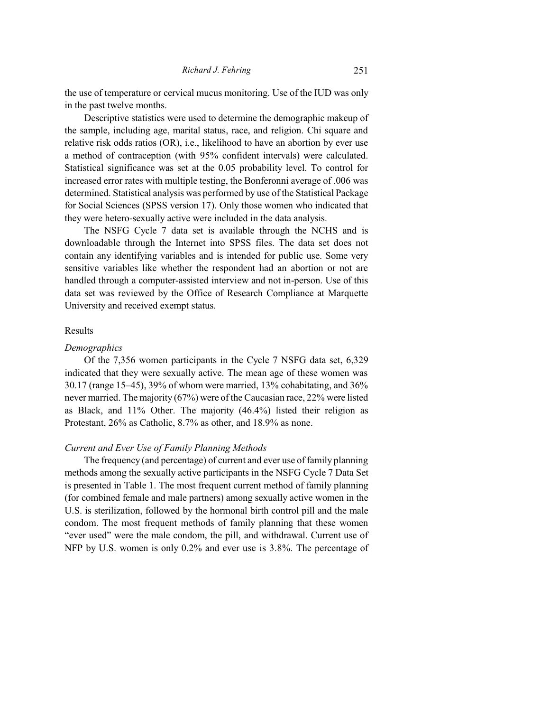the use of temperature or cervical mucus monitoring. Use of the IUD was only in the past twelve months.

Descriptive statistics were used to determine the demographic makeup of the sample, including age, marital status, race, and religion. Chi square and relative risk odds ratios (OR), i.e., likelihood to have an abortion by ever use a method of contraception (with 95% confident intervals) were calculated. Statistical significance was set at the 0.05 probability level. To control for increased error rates with multiple testing, the Bonferonni average of .006 was determined. Statistical analysis was performed by use of the Statistical Package for Social Sciences (SPSS version 17). Only those women who indicated that they were hetero-sexually active were included in the data analysis.

The NSFG Cycle 7 data set is available through the NCHS and is downloadable through the Internet into SPSS files. The data set does not contain any identifying variables and is intended for public use. Some very sensitive variables like whether the respondent had an abortion or not are handled through a computer-assisted interview and not in-person. Use of this data set was reviewed by the Office of Research Compliance at Marquette University and received exempt status.

#### Results

#### *Demographics*

Of the 7,356 women participants in the Cycle 7 NSFG data set, 6,329 indicated that they were sexually active. The mean age of these women was 30.17 (range 15–45), 39% of whom were married, 13% cohabitating, and 36% never married. The majority (67%) were of the Caucasian race, 22% were listed as Black, and 11% Other. The majority (46.4%) listed their religion as Protestant, 26% as Catholic, 8.7% as other, and 18.9% as none.

#### *Current and Ever Use of Family Planning Methods*

The frequency (and percentage) of current and ever use of family planning methods among the sexually active participants in the NSFG Cycle 7 Data Set is presented in Table 1. The most frequent current method of family planning (for combined female and male partners) among sexually active women in the U.S. is sterilization, followed by the hormonal birth control pill and the male condom. The most frequent methods of family planning that these women "ever used" were the male condom, the pill, and withdrawal. Current use of NFP by U.S. women is only 0.2% and ever use is 3.8%. The percentage of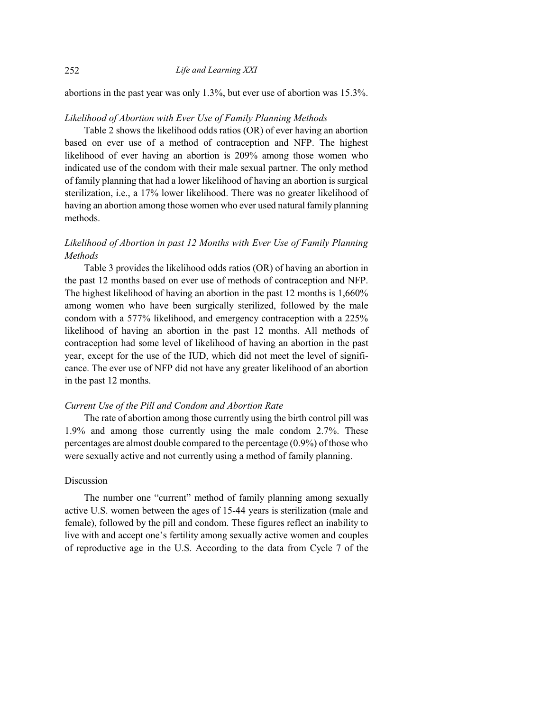abortions in the past year was only 1.3%, but ever use of abortion was 15.3%.

#### *Likelihood of Abortion with Ever Use of Family Planning Methods*

Table 2 shows the likelihood odds ratios (OR) of ever having an abortion based on ever use of a method of contraception and NFP. The highest likelihood of ever having an abortion is 209% among those women who indicated use of the condom with their male sexual partner. The only method of family planning that had a lower likelihood of having an abortion is surgical sterilization, i.e., a 17% lower likelihood. There was no greater likelihood of having an abortion among those women who ever used natural family planning methods.

## *Likelihood of Abortion in past 12 Months with Ever Use of Family Planning Methods*

Table 3 provides the likelihood odds ratios (OR) of having an abortion in the past 12 months based on ever use of methods of contraception and NFP. The highest likelihood of having an abortion in the past 12 months is 1,660% among women who have been surgically sterilized, followed by the male condom with a 577% likelihood, and emergency contraception with a 225% likelihood of having an abortion in the past 12 months. All methods of contraception had some level of likelihood of having an abortion in the past year, except for the use of the IUD, which did not meet the level of significance. The ever use of NFP did not have any greater likelihood of an abortion in the past 12 months.

#### *Current Use of the Pill and Condom and Abortion Rate*

The rate of abortion among those currently using the birth control pill was 1.9% and among those currently using the male condom 2.7%. These percentages are almost double compared to the percentage (0.9%) of those who were sexually active and not currently using a method of family planning.

### Discussion

The number one "current" method of family planning among sexually active U.S. women between the ages of 15-44 years is sterilization (male and female), followed by the pill and condom. These figures reflect an inability to live with and accept one's fertility among sexually active women and couples of reproductive age in the U.S. According to the data from Cycle 7 of the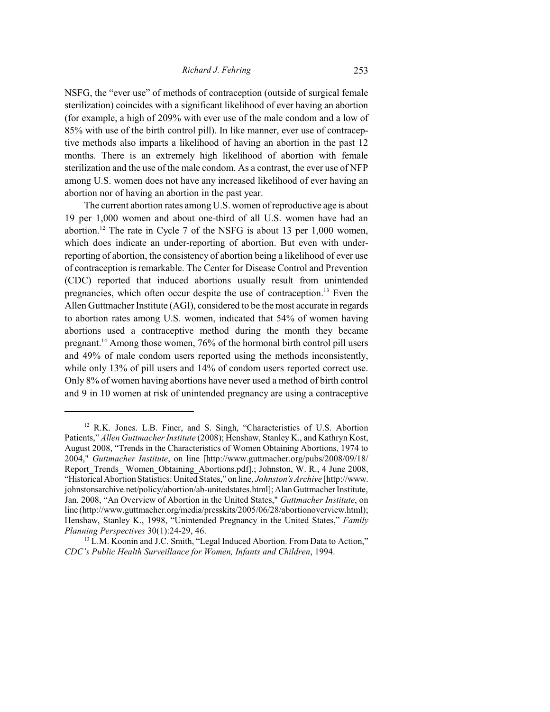NSFG, the "ever use" of methods of contraception (outside of surgical female sterilization) coincides with a significant likelihood of ever having an abortion (for example, a high of 209% with ever use of the male condom and a low of 85% with use of the birth control pill). In like manner, ever use of contraceptive methods also imparts a likelihood of having an abortion in the past 12 months. There is an extremely high likelihood of abortion with female sterilization and the use of the male condom. As a contrast, the ever use of NFP among U.S. women does not have any increased likelihood of ever having an abortion nor of having an abortion in the past year.

The current abortion rates among U.S. women of reproductive age is about 19 per 1,000 women and about one-third of all U.S. women have had an abortion.<sup>12</sup> The rate in Cycle 7 of the NSFG is about 13 per 1,000 women, which does indicate an under-reporting of abortion. But even with underreporting of abortion, the consistency of abortion being a likelihood of ever use of contraception is remarkable. The Center for Disease Control and Prevention (CDC) reported that induced abortions usually result from unintended pregnancies, which often occur despite the use of contraception.<sup>13</sup> Even the Allen Guttmacher Institute (AGI), considered to be the most accurate in regards to abortion rates among U.S. women, indicated that 54% of women having abortions used a contraceptive method during the month they became pregnant. <sup>14</sup> Among those women, 76% of the hormonal birth control pill users and 49% of male condom users reported using the methods inconsistently, while only 13% of pill users and 14% of condom users reported correct use. Only 8% of women having abortions have never used a method of birth control and 9 in 10 women at risk of unintended pregnancy are using a contraceptive

<sup>&</sup>lt;sup>12</sup> R.K. Jones. L.B. Finer, and S. Singh, "Characteristics of U.S. Abortion Patients," *Allen Guttmacher Institute* (2008); Henshaw, Stanley K., and Kathryn Kost, August 2008, "Trends in the Characteristics of Women Obtaining Abortions, 1974 to 2004," *Guttmacher Institute*, on line [http://www.guttmacher.org/pubs/2008/09/18/ Report Trends Women Obtaining Abortions.pdf].; Johnston, W. R., 4 June 2008, "Historical Abortion Statistics: United States," on line, *Johnston's Archive* [http://www. johnstonsarchive.net/policy/abortion/ab-unitedstates.html]; AlanGuttmacher Institute, Jan. 2008, "An Overview of Abortion in the United States," *Guttmacher Institute*, on line (http://www.guttmacher.org/media/presskits/2005/06/28/abortionoverview.html); Henshaw, Stanley K., 1998, "Unintended Pregnancy in the United States," *Family Planning Perspectives* 30(1):24-29, 46.

<sup>&</sup>lt;sup>13</sup> L.M. Koonin and J.C. Smith, "Legal Induced Abortion. From Data to Action," *CDC's Public Health Surveillance for Women, Infants and Children*, 1994.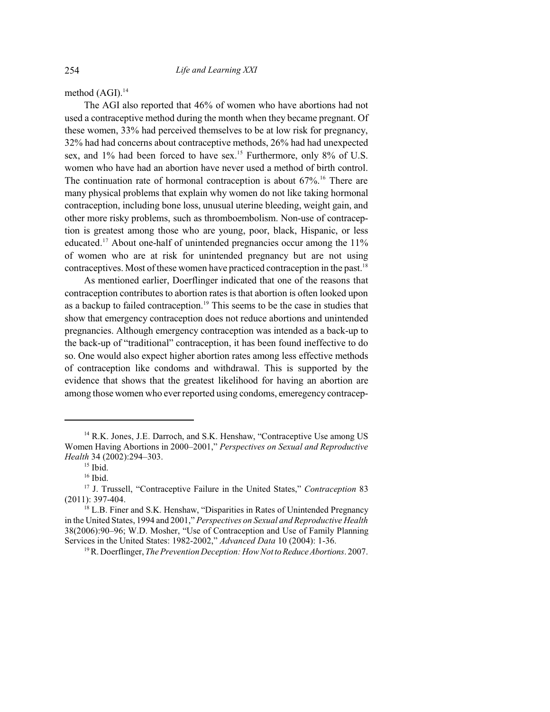method (AGI). 14

The AGI also reported that 46% of women who have abortions had not used a contraceptive method during the month when they became pregnant. Of these women, 33% had perceived themselves to be at low risk for pregnancy, 32% had had concerns about contraceptive methods, 26% had had unexpected sex, and 1% had been forced to have sex.<sup>15</sup> Furthermore, only 8% of U.S. women who have had an abortion have never used a method of birth control. The continuation rate of hormonal contraception is about  $67\%$ <sup>16</sup>. There are many physical problems that explain why women do not like taking hormonal contraception, including bone loss, unusual uterine bleeding, weight gain, and other more risky problems, such as thromboembolism. Non-use of contraception is greatest among those who are young, poor, black, Hispanic, or less educated.<sup>17</sup> About one-half of unintended pregnancies occur among the 11% of women who are at risk for unintended pregnancy but are not using contraceptives. Most of these women have practiced contraception in the past.<sup>18</sup>

As mentioned earlier, Doerflinger indicated that one of the reasons that contraception contributes to abortion rates is that abortion is often looked upon as a backup to failed contraception.<sup>19</sup> This seems to be the case in studies that show that emergency contraception does not reduce abortions and unintended pregnancies. Although emergency contraception was intended as a back-up to the back-up of "traditional" contraception, it has been found ineffective to do so. One would also expect higher abortion rates among less effective methods of contraception like condoms and withdrawal. This is supported by the evidence that shows that the greatest likelihood for having an abortion are among those women who ever reported using condoms, emeregency contracep-

<sup>&</sup>lt;sup>14</sup> R.K. Jones, J.E. Darroch, and S.K. Henshaw, "Contraceptive Use among US Women Having Abortions in 2000–2001," *Perspectives on Sexual and Reproductive Health* 34 (2002):294–303.

 $15$  Ibid.

<sup>&</sup>lt;sup>16</sup> Ibid.

<sup>17</sup> J. Trussell, "Contraceptive Failure in the United States," *Contraception* 83 (2011): 397-404.

 $^{18}$  L.B. Finer and S.K. Henshaw, "Disparities in Rates of Unintended Pregnancy in the United States, 1994 and 2001," *Perspectives on Sexual and Reproductive Health* 38(2006):90–96; W.D. Mosher, "Use of Contraception and Use of Family Planning Services in the United States: 1982-2002," *Advanced Data* 10 (2004): 1-36.

<sup>&</sup>lt;sup>19</sup> R. Doerflinger, *The Prevention Deception: How Not to Reduce Abortions.* 2007.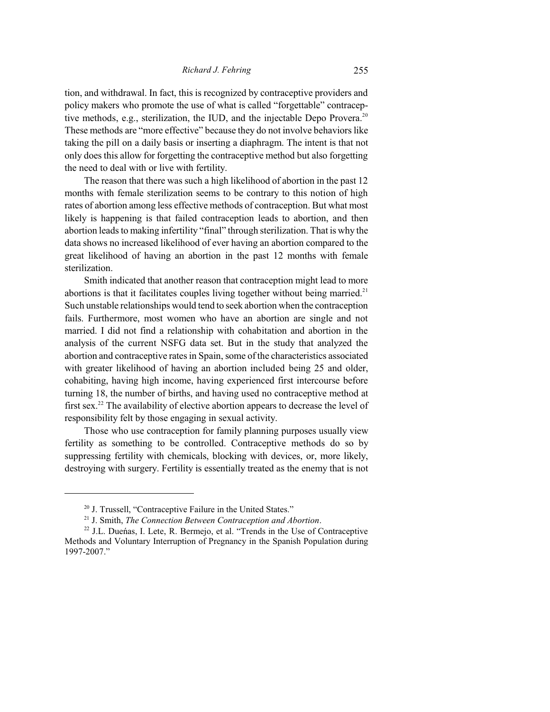tion, and withdrawal. In fact, this is recognized by contraceptive providers and policy makers who promote the use of what is called "forgettable" contraceptive methods, e.g., sterilization, the IUD, and the injectable Depo Provera. 20 These methods are "more effective" because they do not involve behaviors like taking the pill on a daily basis or inserting a diaphragm. The intent is that not only does this allow for forgetting the contraceptive method but also forgetting the need to deal with or live with fertility.

The reason that there was such a high likelihood of abortion in the past 12 months with female sterilization seems to be contrary to this notion of high rates of abortion among less effective methods of contraception. But what most likely is happening is that failed contraception leads to abortion, and then abortion leads to making infertility "final" through sterilization. That is why the data shows no increased likelihood of ever having an abortion compared to the great likelihood of having an abortion in the past 12 months with female sterilization.

Smith indicated that another reason that contraception might lead to more abortions is that it facilitates couples living together without being married.<sup>21</sup> Such unstable relationships would tend to seek abortion when the contraception fails. Furthermore, most women who have an abortion are single and not married. I did not find a relationship with cohabitation and abortion in the analysis of the current NSFG data set. But in the study that analyzed the abortion and contraceptive rates in Spain, some of the characteristics associated with greater likelihood of having an abortion included being 25 and older, cohabiting, having high income, having experienced first intercourse before turning 18, the number of births, and having used no contraceptive method at first sex.<sup>22</sup> The availability of elective abortion appears to decrease the level of responsibility felt by those engaging in sexual activity.

Those who use contraception for family planning purposes usually view fertility as something to be controlled. Contraceptive methods do so by suppressing fertility with chemicals, blocking with devices, or, more likely, destroying with surgery. Fertility is essentially treated as the enemy that is not

<sup>&</sup>lt;sup>20</sup> J. Trussell, "Contraceptive Failure in the United States."

<sup>21</sup> J. Smith, *The Connection Between Contraception and Abortion*.

<sup>22</sup> J.L. Dueñas, I. Lete, R. Bermejo, et al. "Trends in the Use of Contraceptive Methods and Voluntary Interruption of Pregnancy in the Spanish Population during 1997-2007."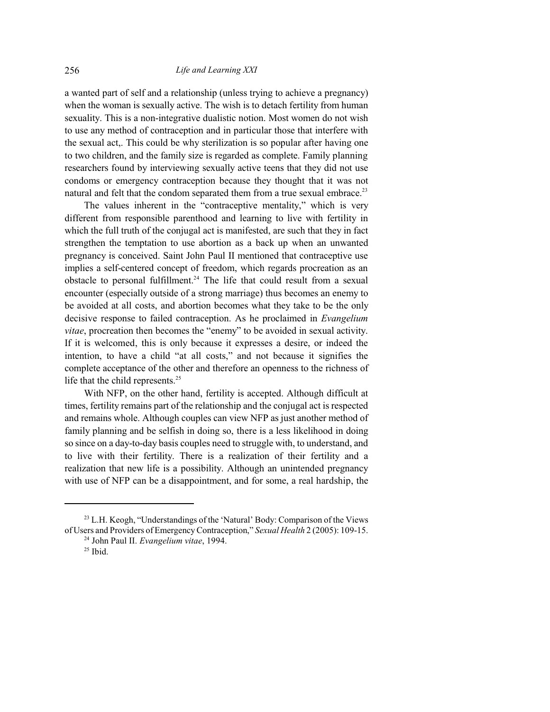a wanted part of self and a relationship (unless trying to achieve a pregnancy) when the woman is sexually active. The wish is to detach fertility from human sexuality. This is a non-integrative dualistic notion. Most women do not wish to use any method of contraception and in particular those that interfere with the sexual act,. This could be why sterilization is so popular after having one to two children, and the family size is regarded as complete. Family planning researchers found by interviewing sexually active teens that they did not use condoms or emergency contraception because they thought that it was not natural and felt that the condom separated them from a true sexual embrace.<sup>23</sup>

The values inherent in the "contraceptive mentality," which is very different from responsible parenthood and learning to live with fertility in which the full truth of the conjugal act is manifested, are such that they in fact strengthen the temptation to use abortion as a back up when an unwanted pregnancy is conceived. Saint John Paul II mentioned that contraceptive use implies a self-centered concept of freedom, which regards procreation as an obstacle to personal fulfillment. <sup>24</sup> The life that could result from a sexual encounter (especially outside of a strong marriage) thus becomes an enemy to be avoided at all costs, and abortion becomes what they take to be the only decisive response to failed contraception. As he proclaimed in *Evangelium vitae*, procreation then becomes the "enemy" to be avoided in sexual activity. If it is welcomed, this is only because it expresses a desire, or indeed the intention, to have a child "at all costs," and not because it signifies the complete acceptance of the other and therefore an openness to the richness of life that the child represents.<sup>25</sup>

With NFP, on the other hand, fertility is accepted. Although difficult at times, fertility remains part of the relationship and the conjugal act is respected and remains whole. Although couples can view NFP as just another method of family planning and be selfish in doing so, there is a less likelihood in doing so since on a day-to-day basis couples need to struggle with, to understand, and to live with their fertility. There is a realization of their fertility and a realization that new life is a possibility. Although an unintended pregnancy with use of NFP can be a disappointment, and for some, a real hardship, the

<sup>&</sup>lt;sup>23</sup> L.H. Keogh, "Understandings of the 'Natural' Body: Comparison of the Views of Users and Providers of EmergencyContraception," *Sexual Health* 2 (2005): 109-15.

<sup>24</sup> John Paul II. *Evangelium vitae*, 1994.

 $25$  Ibid.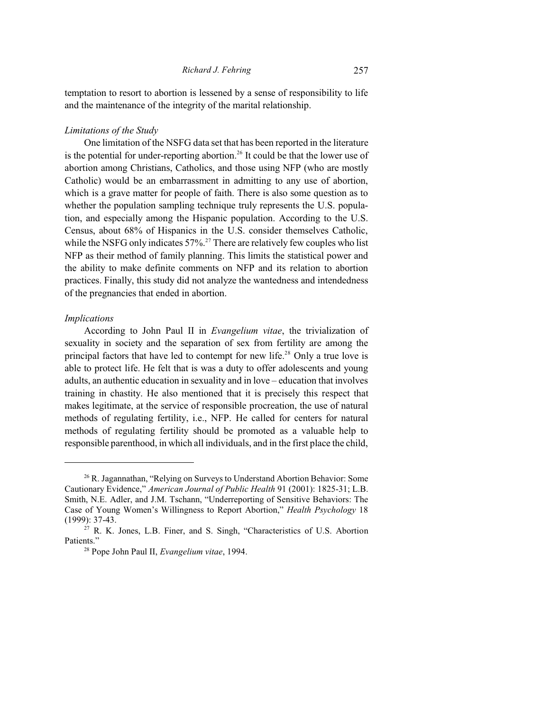temptation to resort to abortion is lessened by a sense of responsibility to life and the maintenance of the integrity of the marital relationship.

#### *Limitations of the Study*

One limitation of the NSFG data set that has been reported in the literature is the potential for under-reporting abortion.<sup>26</sup> It could be that the lower use of abortion among Christians, Catholics, and those using NFP (who are mostly Catholic) would be an embarrassment in admitting to any use of abortion, which is a grave matter for people of faith. There is also some question as to whether the population sampling technique truly represents the U.S. population, and especially among the Hispanic population. According to the U.S. Census, about 68% of Hispanics in the U.S. consider themselves Catholic, while the NSFG only indicates  $57\%$ <sup>27</sup> There are relatively few couples who list NFP as their method of family planning. This limits the statistical power and the ability to make definite comments on NFP and its relation to abortion practices. Finally, this study did not analyze the wantedness and intendedness of the pregnancies that ended in abortion.

#### *Implications*

According to John Paul II in *Evangelium vitae*, the trivialization of sexuality in society and the separation of sex from fertility are among the principal factors that have led to contempt for new life.<sup>28</sup> Only a true love is able to protect life. He felt that is was a duty to offer adolescents and young adults, an authentic education in sexuality and in love – education that involves training in chastity. He also mentioned that it is precisely this respect that makes legitimate, at the service of responsible procreation, the use of natural methods of regulating fertility, i.e., NFP. He called for centers for natural methods of regulating fertility should be promoted as a valuable help to responsible parenthood, in which all individuals, and in the first place the child,

<sup>&</sup>lt;sup>26</sup> R. Jagannathan, "Relying on Surveys to Understand Abortion Behavior: Some Cautionary Evidence," *American Journal of Public Health* 91 (2001): 1825-31; L.B. Smith, N.E. Adler, and J.M. Tschann, "Underreporting of Sensitive Behaviors: The Case of Young Women's Willingness to Report Abortion," *Health Psychology* 18 (1999): 37-43.

 $27$  R. K. Jones, L.B. Finer, and S. Singh, "Characteristics of U.S. Abortion Patients."

<sup>28</sup> Pope John Paul II, *Evangelium vitae*, 1994.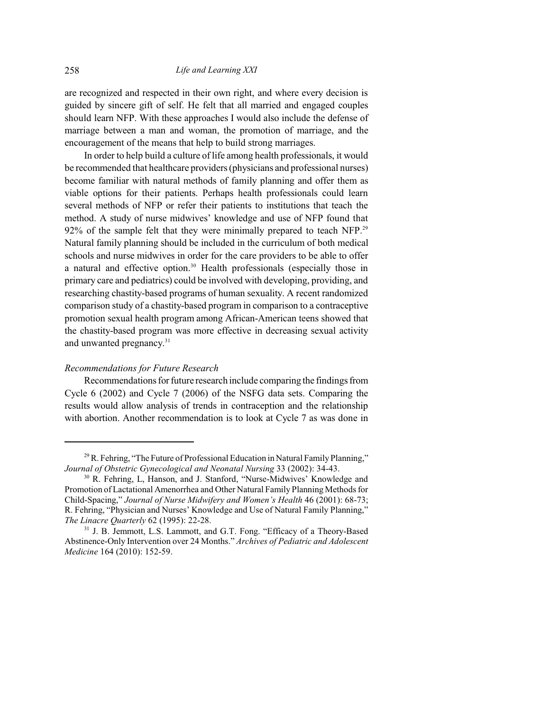are recognized and respected in their own right, and where every decision is guided by sincere gift of self. He felt that all married and engaged couples should learn NFP. With these approaches I would also include the defense of marriage between a man and woman, the promotion of marriage, and the encouragement of the means that help to build strong marriages.

In order to help build a culture of life among health professionals, it would be recommended that healthcare providers(physicians and professional nurses) become familiar with natural methods of family planning and offer them as viable options for their patients. Perhaps health professionals could learn several methods of NFP or refer their patients to institutions that teach the method. A study of nurse midwives' knowledge and use of NFP found that 92% of the sample felt that they were minimally prepared to teach NFP.<sup>29</sup> Natural family planning should be included in the curriculum of both medical schools and nurse midwives in order for the care providers to be able to offer a natural and effective option.<sup>30</sup> Health professionals (especially those in primary care and pediatrics) could be involved with developing, providing, and researching chastity-based programs of human sexuality. A recent randomized comparison study of a chastity-based program in comparison to a contraceptive promotion sexual health program among African-American teens showed that the chastity-based program was more effective in decreasing sexual activity and unwanted pregnancy.<sup>31</sup>

#### *Recommendations for Future Research*

Recommendations for future research include comparing the findings from Cycle 6 (2002) and Cycle 7 (2006) of the NSFG data sets. Comparing the results would allow analysis of trends in contraception and the relationship with abortion. Another recommendation is to look at Cycle 7 as was done in

 $^{29}$  R. Fehring, "The Future of Professional Education in Natural Family Planning," *Journal of Obstetric Gynecological and Neonatal Nursing* 33 (2002): 34-43.

<sup>30</sup> R. Fehring, L, Hanson, and J. Stanford, "Nurse-Midwives' Knowledge and Promotion of Lactational Amenorrhea and Other Natural Family Planning Methods for Child-Spacing," *Journal of Nurse Midwifery and Women's Health* 46 (2001): 68-73; R. Fehring, "Physician and Nurses' Knowledge and Use of Natural Family Planning," *The Linacre Quarterly* 62 (1995): 22-28.

<sup>&</sup>lt;sup>31</sup> J. B. Jemmott, L.S. Lammott, and G.T. Fong. "Efficacy of a Theory-Based Abstinence-Only Intervention over 24 Months." *Archives of Pediatric and Adolescent Medicine* 164 (2010): 152-59.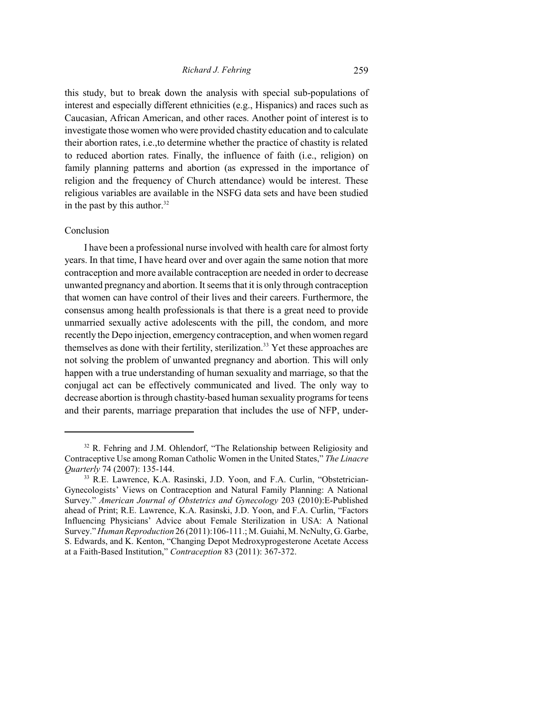this study, but to break down the analysis with special sub-populations of interest and especially different ethnicities (e.g., Hispanics) and races such as Caucasian, African American, and other races. Another point of interest is to investigate those women who were provided chastity education and to calculate their abortion rates, i.e.,to determine whether the practice of chastity is related to reduced abortion rates. Finally, the influence of faith (i.e., religion) on family planning patterns and abortion (as expressed in the importance of religion and the frequency of Church attendance) would be interest. These religious variables are available in the NSFG data sets and have been studied in the past by this author. 32

#### Conclusion

I have been a professional nurse involved with health care for almost forty years. In that time, I have heard over and over again the same notion that more contraception and more available contraception are needed in order to decrease unwanted pregnancy and abortion. It seems that it is only through contraception that women can have control of their lives and their careers. Furthermore, the consensus among health professionals is that there is a great need to provide unmarried sexually active adolescents with the pill, the condom, and more recently the Depo injection, emergency contraception, and when women regard themselves as done with their fertility, sterilization.<sup>33</sup> Yet these approaches are not solving the problem of unwanted pregnancy and abortion. This will only happen with a true understanding of human sexuality and marriage, so that the conjugal act can be effectively communicated and lived. The only way to decrease abortion is through chastity-based human sexuality programs for teens and their parents, marriage preparation that includes the use of NFP, under-

 $32$  R. Fehring and J.M. Ohlendorf, "The Relationship between Religiosity and Contraceptive Use among Roman Catholic Women in the United States," *The Linacre Quarterly* 74 (2007): 135-144.

<sup>&</sup>lt;sup>33</sup> R.E. Lawrence, K.A. Rasinski, J.D. Yoon, and F.A. Curlin, "Obstetrician-Gynecologists' Views on Contraception and Natural Family Planning: A National Survey." *American Journal of Obstetrics and Gynecology* 203 (2010):E-Published ahead of Print; R.E. Lawrence, K.A. Rasinski, J.D. Yoon, and F.A. Curlin, "Factors Influencing Physicians' Advice about Female Sterilization in USA: A National Survey." *HumanReproduction* 26 (2011):106-111.; M. Guiahi, M. NcNulty, G. Garbe, S. Edwards, and K. Kenton, "Changing Depot Medroxyprogesterone Acetate Access at a Faith-Based Institution," *Contraception* 83 (2011): 367-372.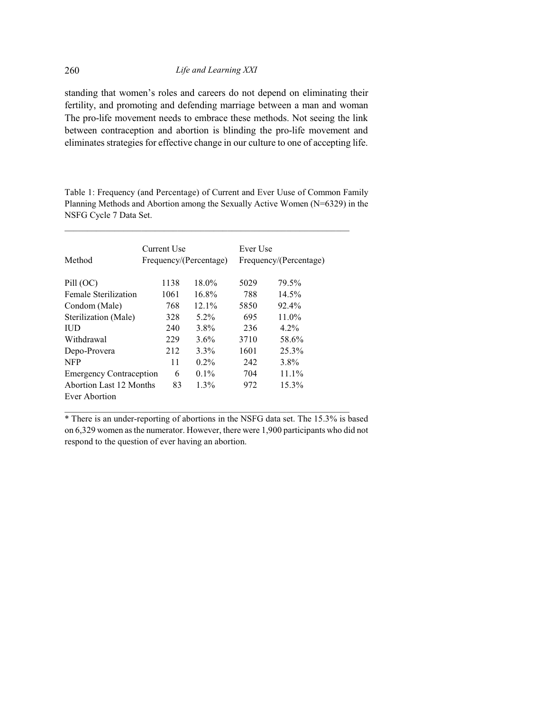standing that women's roles and careers do not depend on eliminating their fertility, and promoting and defending marriage between a man and woman The pro-life movement needs to embrace these methods. Not seeing the link between contraception and abortion is blinding the pro-life movement and eliminates strategies for effective change in our culture to one of accepting life.

Table 1: Frequency (and Percentage) of Current and Ever Uuse of Common Family Planning Methods and Abortion among the Sexually Active Women (N=6329) in the NSFG Cycle 7 Data Set.

 $\_$  ,  $\_$  ,  $\_$  ,  $\_$  ,  $\_$  ,  $\_$  ,  $\_$  ,  $\_$  ,  $\_$  ,  $\_$  ,  $\_$  ,  $\_$  ,  $\_$  ,  $\_$  ,  $\_$  ,  $\_$  ,  $\_$  ,  $\_$  ,  $\_$ 

| Method                         | Current Use<br>Frequency/(Percentage) |          | Ever Use<br>Frequency/(Percentage) |          |
|--------------------------------|---------------------------------------|----------|------------------------------------|----------|
| Pill (OC)                      | 1138                                  | $18.0\%$ | 5029                               | 79.5%    |
| <b>Female Sterilization</b>    | 1061                                  | $16.8\%$ | 788                                | $14.5\%$ |
| Condom (Male)                  | 768                                   | $12.1\%$ | 5850                               | 92.4%    |
| Sterilization (Male)           | 328                                   | $5.2\%$  | 695                                | $11.0\%$ |
| <b>IUD</b>                     | 240                                   | $3.8\%$  | 236                                | $4.2\%$  |
| Withdrawal                     | 229                                   | $3.6\%$  | 3710                               | 58.6%    |
| Depo-Provera                   | 212                                   | $3.3\%$  | 1601                               | 25.3%    |
| <b>NFP</b>                     | 11                                    | $0.2\%$  | 242                                | 3.8%     |
| <b>Emergency Contraception</b> | 6                                     | $0.1\%$  | 704                                | 11.1%    |
| Abortion Last 12 Months        | 83                                    | $1.3\%$  | 972                                | $15.3\%$ |
| Ever Abortion                  |                                       |          |                                    |          |

\* There is an under-reporting of abortions in the NSFG data set. The 15.3% is based on 6,329 women as the numerator. However, there were 1,900 participants who did not respond to the question of ever having an abortion.